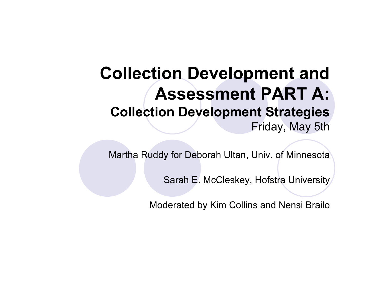#### **Collection Development and Assessment PART A: Collection Development Strategies** Friday, May 5th

Martha Ruddy for Deborah Ultan, Univ. of Minnesota

Sarah E. McCleskey, Hofstra University

Moderated by Kim Collins and Nensi Brailo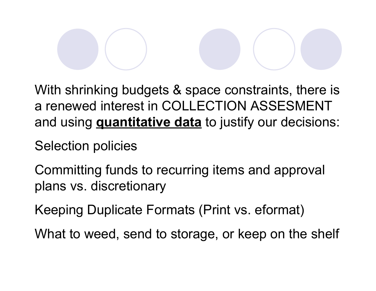With shrinking budgets & space constraints, there is a renewed interest in COLLECTION ASSESMENT and using **quantitative data** to justify our decisions:

Selection policies

Committing funds to recurring items and approval plans vs. discretionary

Keeping Duplicate Formats (Print vs. eformat)

What to weed, send to storage, or keep on the shelf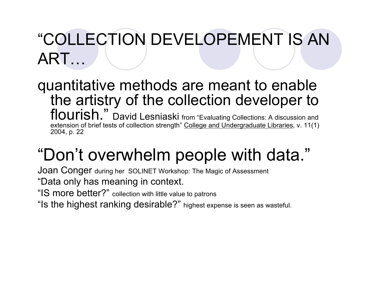# "COLLECTION DEVELOPEMENT IS AN ART…

quantitative methods are meant to enable the artistry of the collection developer to flourish." David Lesniaski from "Evaluating Collections: A discussion and extension of brief tests of collection strength" College and Undergraduate Libraries, v. 11(1) 2004, p. 22

# "Don't overwhelm people with data."

Joan Conger during her SOLINET Workshop: The Magic of Assessment "Data only has meaning in context.

"IS more better?" collection with little value to patrons

"Is the highest ranking desirable?" highest expense is seen as wasteful.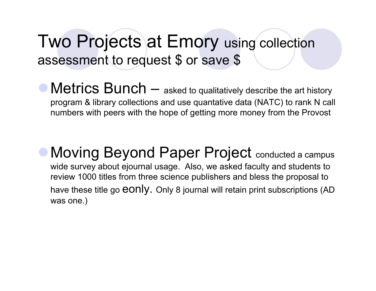### Two Projects at Emory using collection assessment to request \$ or save \$

• Metrics Bunch — asked to qualitatively describe the art history program & library collections and use quantative data (NATC) to rank N call numbers with peers with the hope of getting more money from the Provost

• Moving Beyond Paper Project conducted a campus wide survey about ejournal usage. Also, we asked faculty and students to review 1000 titles from three science publishers and bless the proposal to have these title go **eonly.** Only 8 journal will retain print subscriptions (AD was one.)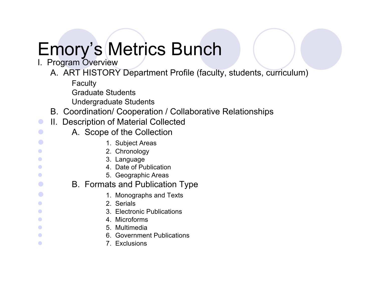# Emory's Metrics Bunch

- I. Program Overview
	- A. ART HISTORY Department Profile (faculty, students, curriculum)
		- Faculty
		- Graduate Students
		- Undergraduate Students
	- B. Coordination/ Cooperation / Collaborative Relationships
- **II. Description of Material Collected**
- **Callection A.** Scope of the Collection
- **1. Subject Areas**
- **2. Chronology** 
	- 3. Language
- **4. Date of Publication**
- **6. Geographic Areas**
- **B.** Formats and Publication Type
- **1. Monographs and Texts** 
	- 2. Serials
	- 3. Electronic Publications
	- 4. Microforms
- **6. International Contract Studies of the Second Studies of the Second Studies of the Second Studies of the Second Studies of the Second Studies of the Second Studies of the Second Studies of the Second Studies of the Seco**
- **6.** Government Publications
- **1.** Exclusions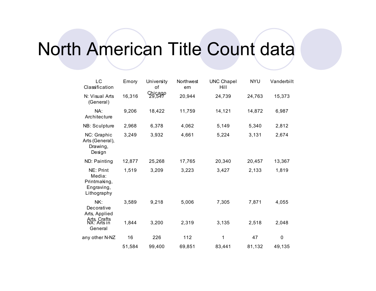# North American Title Count data

| LC<br>Classification                                             | Emory  | University<br>οf  | Northwest<br>em | <b>UNC Chapel</b><br>Hill | <b>NYU</b> | Vanderbilt |
|------------------------------------------------------------------|--------|-------------------|-----------------|---------------------------|------------|------------|
| N: Visual Arts<br>(General)                                      | 16,316 | Chicago<br>29,547 | 20,944          | 24,739                    | 24,763     | 15,373     |
| NA:<br>Architecture                                              | 9,206  | 18,422            | 11,759          | 14,121                    | 14,872     | 6,987      |
| NB: Sculpture                                                    | 2,968  | 6,378             | 4,062           | 5,149                     | 5,340      | 2,812      |
| NC: Graphic<br>Arts (General),<br>Drawing,<br>Design             | 3,249  | 3,932             | 4,661           | 5,224                     | 3,131      | 2,674      |
| ND: Painting                                                     | 12,877 | 25,268            | 17,765          | 20,340                    | 20,457     | 13,367     |
| NE: Print<br>Media:<br>Printmaking,<br>Engraving,<br>Lithography | 1,519  | 3,209             | 3,223           | 3,427                     | 2,133      | 1,819      |
| NK:<br>Decorative<br>Arts, Applied                               | 3,589  | 9,218             | 5,006           | 7,305                     | 7,871      | 4,055      |
| Arts, Crafts<br>NX: Arts in<br>General                           | 1,844  | 3,200             | 2,319           | 3,135                     | 2,518      | 2,048      |
| any other N-NZ                                                   | 16     | 226               | 112             | 1                         | 47         | $\pmb{0}$  |
|                                                                  | 51,584 | 99,400            | 69,851          | 83,441                    | 81,132     | 49,135     |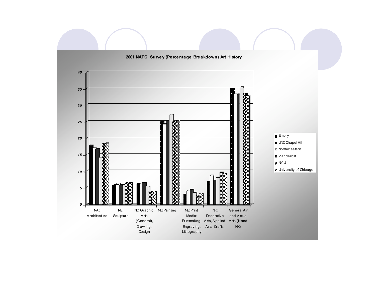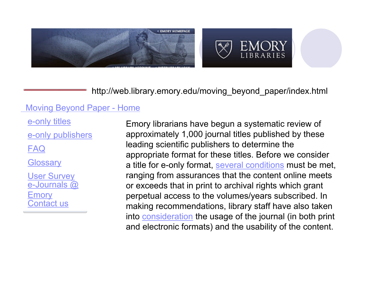



http://web.library.emory.edu/moving\_beyond\_paper/index.html

#### Moving Beyond Paper - Home

e-only publishers

FAQ

**Glossary** 

Contact us e-Journals @ **Emory** User Survey

e-only titles Emory librarians have begun a systematic review of approximately 1,000 journal titles published by these leading scientific publishers to determine the appropriate format for these titles. Before we consider a title for e-only format, several conditions must be met, ranging from assurances that the content online meets or exceeds that in print to archival rights which grant perpetual access to the volumes/years subscribed. In making recommendations, library staff have also taken into consideration the usage of the journal (in both print and electronic formats) and the usability of the content.